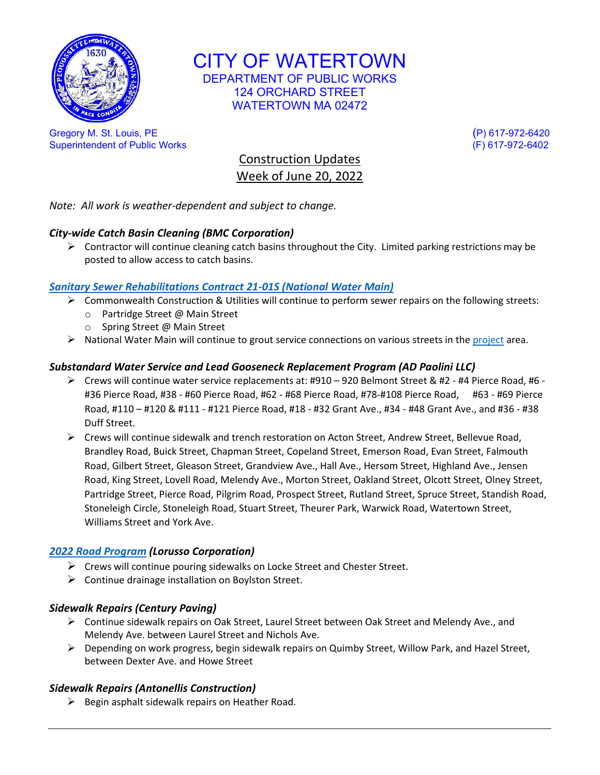

CITY OF WATERTOWN DEPARTMENT OF PUBLIC WORKS 124 ORCHARD STREET WATERTOWN MA 02472

Gregory M. St. Louis, PE (P) 617-972-6420 Superintendent of Public Works

Construction Updates Week of June 20, 2022

*Note: All work is weather-dependent and subject to change.*

## *City-wide Catch Basin Cleaning (BMC Corporation)*

 $\triangleright$  Contractor will continue cleaning catch basins throughout the City. Limited parking restrictions may be posted to allow access to catch basins.

## *[Sanitary Sewer Rehabilitations Contract 21-01S \(National Water Main\)](https://www.watertowndpw.org/219/2021-Sewer-Improvements)*

- $\triangleright$  Commonwealth Construction & Utilities will continue to perform sewer repairs on the following streets:
	- o Partridge Street @ Main Street
	- o Spring Street @ Main Street
- $\triangleright$  National Water Main will continue to grout service connections on various streets in th[e project](https://www.watertowndpw.org/DocumentCenter/View/1448/21-01S_Overview-Map?bidId=) area.

### *Substandard Water Service and Lead Gooseneck Replacement Program (AD Paolini LLC)*

- Crews will continue water service replacements at: #910 920 Belmont Street & #2 #4 Pierce Road, #6 #36 Pierce Road, #38 - #60 Pierce Road, #62 - #68 Pierce Road, #78-#108 Pierce Road, #63 - #69 Pierce Road, #110 – #120 & #111 - #121 Pierce Road, #18 - #32 Grant Ave., #34 - #48 Grant Ave., and #36 - #38 Duff Street.
- ▶ Crews will continue sidewalk and trench restoration on Acton Street, Andrew Street, Bellevue Road, Brandley Road, Buick Street, Chapman Street, Copeland Street, Emerson Road, Evan Street, Falmouth Road, Gilbert Street, Gleason Street, Grandview Ave., Hall Ave., Hersom Street, Highland Ave., Jensen Road, King Street, Lovell Road, Melendy Ave., Morton Street, Oakland Street, Olcott Street, Olney Street, Partridge Street, Pierce Road, Pilgrim Road, Prospect Street, Rutland Street, Spruce Street, Standish Road, Stoneleigh Circle, Stoneleigh Road, Stuart Street, Theurer Park, Warwick Road, Watertown Street, Williams Street and York Ave.

### *[2022 Road Program](https://www.watertowndpw.org/191/Annual-Road-Program) (Lorusso Corporation)*

- $\triangleright$  Crews will continue pouring sidewalks on Locke Street and Chester Street.
- $\triangleright$  Continue drainage installation on Boylston Street.

### *Sidewalk Repairs (Century Paving)*

- Continue sidewalk repairs on Oak Street, Laurel Street between Oak Street and Melendy Ave., and Melendy Ave. between Laurel Street and Nichols Ave.
- $\triangleright$  Depending on work progress, begin sidewalk repairs on Quimby Street, Willow Park, and Hazel Street, between Dexter Ave. and Howe Street

### *Sidewalk Repairs (Antonellis Construction)*

 $\triangleright$  Begin asphalt sidewalk repairs on Heather Road.